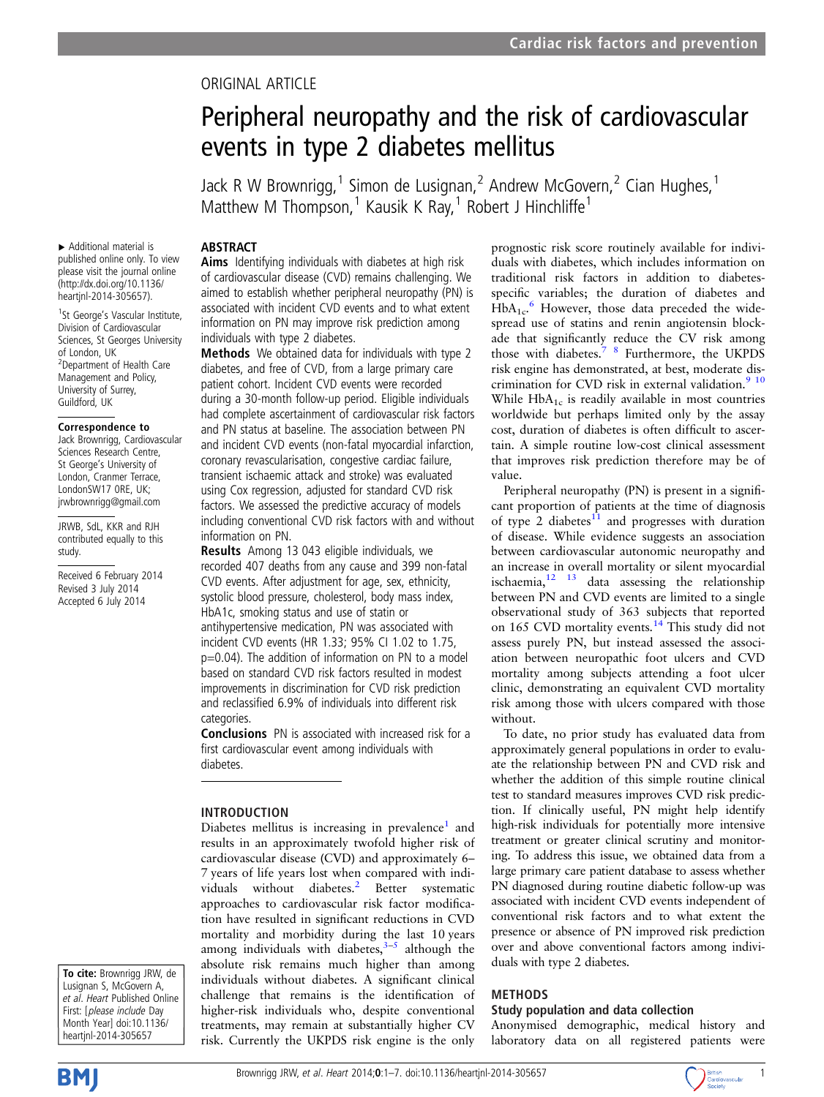# ORIGINAL ARTICLE

# Peripheral neuropathy and the risk of cardiovascular events in type 2 diabetes mellitus

Jack R W Brownrigg,<sup>1</sup> Simon de Lusignan,<sup>2</sup> Andrew McGovern,<sup>2</sup> Cian Hughes,<sup>1</sup> Matthew M Thompson,<sup>1</sup> Kausik K Ray,<sup>1</sup> Robert J Hinchliffe<sup>1</sup>

## ABSTRACT

▸ Additional material is published online only. To view please visit the journal online [\(http://dx.doi.org/10.1136/](http://dx.doi.org/10.1136/heartjnl-2014-305657) [heartjnl-2014-305657](http://dx.doi.org/10.1136/heartjnl-2014-305657)).

<sup>1</sup>St George's Vascular Institute, Division of Cardiovascular Sciences, St Georges University of London, UK <sup>2</sup> Department of Health Care Management and Policy, University of Surrey, Guildford, UK

#### Correspondence to

Jack Brownrigg, Cardiovascular Sciences Research Centre, St George's University of London, Cranmer Terrace, LondonSW17 0RE, UK; jrwbrownrigg@gmail.com

JRWB, SdL, KKR and RJH contributed equally to this study.

Received 6 February 2014 Revised 3 July 2014 Accepted 6 July 2014

Aims Identifying individuals with diabetes at high risk of cardiovascular disease (CVD) remains challenging. We aimed to establish whether peripheral neuropathy (PN) is associated with incident CVD events and to what extent information on PN may improve risk prediction among individuals with type 2 diabetes.

Methods We obtained data for individuals with type 2 diabetes, and free of CVD, from a large primary care patient cohort. Incident CVD events were recorded during a 30-month follow-up period. Eligible individuals had complete ascertainment of cardiovascular risk factors and PN status at baseline. The association between PN and incident CVD events (non-fatal myocardial infarction, coronary revascularisation, congestive cardiac failure, transient ischaemic attack and stroke) was evaluated using Cox regression, adjusted for standard CVD risk factors. We assessed the predictive accuracy of models including conventional CVD risk factors with and without information on PN.

Results Among 13 043 eligible individuals, we recorded 407 deaths from any cause and 399 non-fatal CVD events. After adjustment for age, sex, ethnicity, systolic blood pressure, cholesterol, body mass index, HbA1c, smoking status and use of statin or antihypertensive medication, PN was associated with incident CVD events (HR 1.33; 95% CI 1.02 to 1.75, p=0.04). The addition of information on PN to a model based on standard CVD risk factors resulted in modest improvements in discrimination for CVD risk prediction and reclassified 6.9% of individuals into different risk categories.

Conclusions PN is associated with increased risk for a first cardiovascular event among individuals with diabetes.

#### INTRODUCTION

Diabetes mellitus is increasing in prevalence<sup>1</sup> and results in an approximately twofold higher risk of cardiovascular disease (CVD) and approximately 6– 7 years of life years lost when compared with indi-viduals without diabetes.<sup>[2](#page-5-0)</sup> Better systematic approaches to cardiovascular risk factor modification have resulted in significant reductions in CVD mortality and morbidity during the last 10 years among individuals with diabetes, $3-5$  $3-5$  $3-5$  although the absolute risk remains much higher than among individuals without diabetes. A significant clinical challenge that remains is the identification of higher-risk individuals who, despite conventional treatments, may remain at substantially higher CV risk. Currently the UKPDS risk engine is the only

prognostic risk score routinely available for individuals with diabetes, which includes information on traditional risk factors in addition to diabetesspecific variables; the duration of diabetes and  $HbA_{1c}$ <sup>[6](#page-5-0)</sup> However, those data preceded the widespread use of statins and renin angiotensin blockade that significantly reduce the CV risk among those with diabetes.<sup>7</sup> <sup>8</sup> Furthermore, the UKPDS risk engine has demonstrated, at best, moderate discrimination for CVD risk in external validation.<sup>9</sup> <sup>10</sup> While  $HbA_{1c}$  is readily available in most countries worldwide but perhaps limited only by the assay cost, duration of diabetes is often difficult to ascertain. A simple routine low-cost clinical assessment that improves risk prediction therefore may be of value.

Peripheral neuropathy (PN) is present in a significant proportion of patients at the time of diagnosis of type 2 diabetes $\frac{1}{1}$  and progresses with duration of disease. While evidence suggests an association between cardiovascular autonomic neuropathy and an increase in overall mortality or silent myocardial ischaemia, $12 \t 13$  data assessing the relationship between PN and CVD events are limited to a single observational study of 363 subjects that reported on 165 CVD mortality events.<sup>[14](#page-5-0)</sup> This study did not assess purely PN, but instead assessed the association between neuropathic foot ulcers and CVD mortality among subjects attending a foot ulcer clinic, demonstrating an equivalent CVD mortality risk among those with ulcers compared with those without.

To date, no prior study has evaluated data from approximately general populations in order to evaluate the relationship between PN and CVD risk and whether the addition of this simple routine clinical test to standard measures improves CVD risk prediction. If clinically useful, PN might help identify high-risk individuals for potentially more intensive treatment or greater clinical scrutiny and monitoring. To address this issue, we obtained data from a large primary care patient database to assess whether PN diagnosed during routine diabetic follow-up was associated with incident CVD events independent of conventional risk factors and to what extent the presence or absence of PN improved risk prediction over and above conventional factors among individuals with type 2 diabetes.

#### METHODS

#### Study population and data collection

Anonymised demographic, medical history and laboratory data on all registered patients were

To cite: Brownrigg JRW, de Lusignan S, McGovern A, et al. Heart Published Online First: [please include Day Month Year] doi:10.1136/ heartjnl-2014-305657



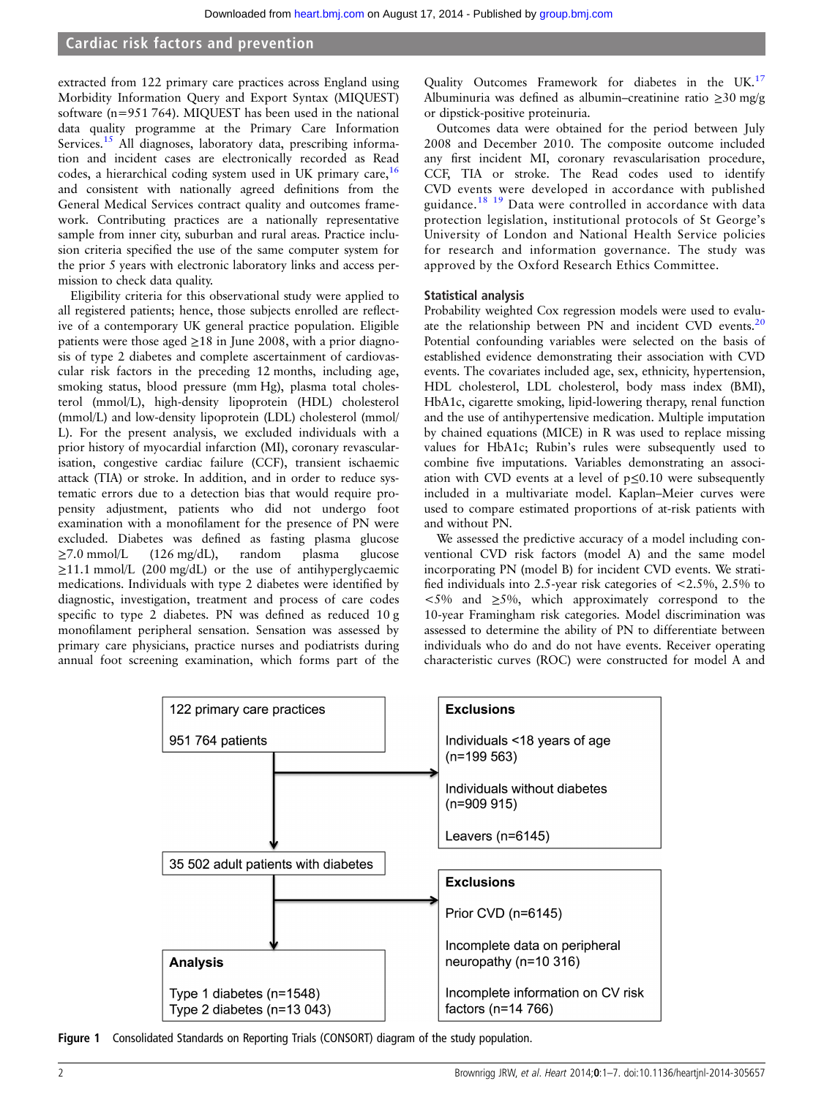<span id="page-1-0"></span>extracted from 122 primary care practices across England using Morbidity Information Query and Export Syntax (MIQUEST) software (n=951 764). MIQUEST has been used in the national data quality programme at the Primary Care Information Services.<sup>[15](#page-5-0)</sup> All diagnoses, laboratory data, prescribing information and incident cases are electronically recorded as Read codes, a hierarchical coding system used in UK primary care,  $16$ and consistent with nationally agreed definitions from the General Medical Services contract quality and outcomes framework. Contributing practices are a nationally representative sample from inner city, suburban and rural areas. Practice inclusion criteria specified the use of the same computer system for the prior 5 years with electronic laboratory links and access permission to check data quality.

Eligibility criteria for this observational study were applied to all registered patients; hence, those subjects enrolled are reflective of a contemporary UK general practice population. Eligible patients were those aged  $\geq$  18 in June 2008, with a prior diagnosis of type 2 diabetes and complete ascertainment of cardiovascular risk factors in the preceding 12 months, including age, smoking status, blood pressure (mm Hg), plasma total cholesterol (mmol/L), high-density lipoprotein (HDL) cholesterol (mmol/L) and low-density lipoprotein (LDL) cholesterol (mmol/ L). For the present analysis, we excluded individuals with a prior history of myocardial infarction (MI), coronary revascularisation, congestive cardiac failure (CCF), transient ischaemic attack (TIA) or stroke. In addition, and in order to reduce systematic errors due to a detection bias that would require propensity adjustment, patients who did not undergo foot examination with a monofilament for the presence of PN were excluded. Diabetes was defined as fasting plasma glucose ≥7.0 mmol/L (126 mg/dL), random plasma glucose  $\geq$ 11.1 mmol/L (200 mg/dL) or the use of antihyperglycaemic medications. Individuals with type 2 diabetes were identified by diagnostic, investigation, treatment and process of care codes specific to type 2 diabetes. PN was defined as reduced 10 g monofilament peripheral sensation. Sensation was assessed by primary care physicians, practice nurses and podiatrists during annual foot screening examination, which forms part of the

Quality Outcomes Framework for diabetes in the UK.<sup>[17](#page-5-0)</sup> Albuminuria was defined as albumin–creatinine ratio ≥30 mg/g or dipstick-positive proteinuria.

Outcomes data were obtained for the period between July 2008 and December 2010. The composite outcome included any first incident MI, coronary revascularisation procedure, CCF, TIA or stroke. The Read codes used to identify CVD events were developed in accordance with published guidance.[18 19](#page-5-0) Data were controlled in accordance with data protection legislation, institutional protocols of St George's University of London and National Health Service policies for research and information governance. The study was approved by the Oxford Research Ethics Committee.

#### Statistical analysis

Probability weighted Cox regression models were used to evaluate the relationship between PN and incident CVD events.[20](#page-5-0) Potential confounding variables were selected on the basis of established evidence demonstrating their association with CVD events. The covariates included age, sex, ethnicity, hypertension, HDL cholesterol, LDL cholesterol, body mass index (BMI), HbA1c, cigarette smoking, lipid-lowering therapy, renal function and the use of antihypertensive medication. Multiple imputation by chained equations (MICE) in R was used to replace missing values for HbA1c; Rubin's rules were subsequently used to combine five imputations. Variables demonstrating an association with CVD events at a level of p≤0.10 were subsequently included in a multivariate model. Kaplan–Meier curves were used to compare estimated proportions of at-risk patients with and without PN.

We assessed the predictive accuracy of a model including conventional CVD risk factors (model A) and the same model incorporating PN (model B) for incident CVD events. We stratified individuals into 2.5-year risk categories of <2.5%, 2.5% to <5% and ≥5%, which approximately correspond to the 10-year Framingham risk categories. Model discrimination was assessed to determine the ability of PN to differentiate between individuals who do and do not have events. Receiver operating characteristic curves (ROC) were constructed for model A and



Figure 1 Consolidated Standards on Reporting Trials (CONSORT) diagram of the study population.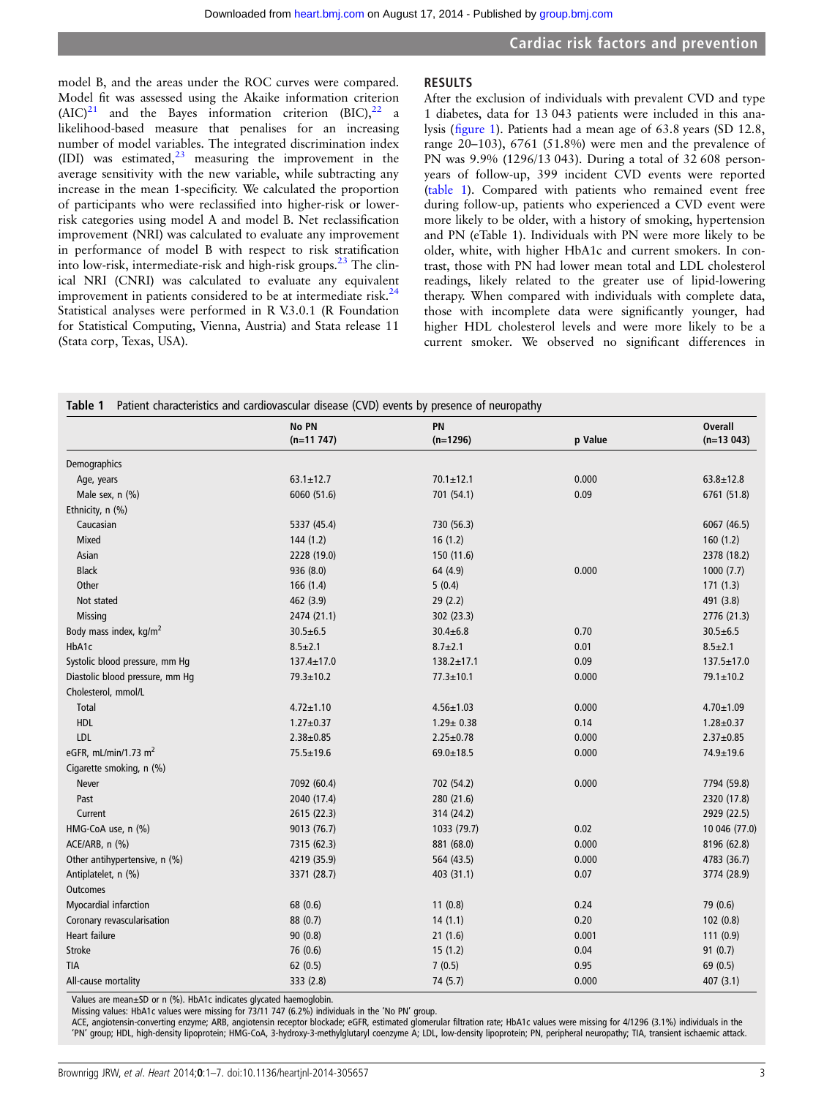model B, and the areas under the ROC curves were compared. Model fit was assessed using the Akaike information criterion  $(AIC)^{21}$  $(AIC)^{21}$  $(AIC)^{21}$  and the Bayes information criterion  $(BIC)^{22}$  $(BIC)^{22}$  $(BIC)^{22}$  a likelihood-based measure that penalises for an increasing number of model variables. The integrated discrimination index (IDI) was estimated, $23$  measuring the improvement in the average sensitivity with the new variable, while subtracting any increase in the mean 1-specificity. We calculated the proportion of participants who were reclassified into higher-risk or lowerrisk categories using model A and model B. Net reclassification improvement (NRI) was calculated to evaluate any improvement in performance of model B with respect to risk stratification into low-risk, intermediate-risk and high-risk groups.<sup>[23](#page-5-0)</sup> The clinical NRI (CNRI) was calculated to evaluate any equivalent improvement in patients considered to be at intermediate risk. $^{24}$ Statistical analyses were performed in R V.3.0.1 (R Foundation for Statistical Computing, Vienna, Austria) and Stata release 11 (Stata corp, Texas, USA).

#### RESULTS

After the exclusion of individuals with prevalent CVD and type 1 diabetes, data for 13 043 patients were included in this analysis (fi[gure 1\)](#page-1-0). Patients had a mean age of 63.8 years (SD 12.8, range 20–103), 6761 (51.8%) were men and the prevalence of PN was 9.9% (1296/13 043). During a total of 32 608 personyears of follow-up, 399 incident CVD events were reported (table 1). Compared with patients who remained event free during follow-up, patients who experienced a CVD event were more likely to be older, with a history of smoking, hypertension and PN (eTable 1). Individuals with PN were more likely to be older, white, with higher HbA1c and current smokers. In contrast, those with PN had lower mean total and LDL cholesterol readings, likely related to the greater use of lipid-lowering therapy. When compared with individuals with complete data, those with incomplete data were significantly younger, had higher HDL cholesterol levels and were more likely to be a current smoker. We observed no significant differences in

|                                    | No PN            | PN               |         | <b>Overall</b>   |
|------------------------------------|------------------|------------------|---------|------------------|
|                                    | $(n=11747)$      | $(n=1296)$       | p Value | $(n=13043)$      |
| Demographics                       |                  |                  |         |                  |
| Age, years                         | $63.1 \pm 12.7$  | $70.1 \pm 12.1$  | 0.000   | $63.8 \pm 12.8$  |
| Male sex, n (%)                    | 6060 (51.6)      | 701 (54.1)       | 0.09    | 6761 (51.8)      |
| Ethnicity, n (%)                   |                  |                  |         |                  |
| Caucasian                          | 5337 (45.4)      | 730 (56.3)       |         | 6067 (46.5)      |
| Mixed                              | 144(1.2)         | 16(1.2)          |         | 160(1.2)         |
| Asian                              | 2228 (19.0)      | 150 (11.6)       |         | 2378 (18.2)      |
| <b>Black</b>                       | 936 (8.0)        | 64 (4.9)         | 0.000   | 1000(7.7)        |
| Other                              | 166(1.4)         | 5(0.4)           |         | 171(1.3)         |
| Not stated                         | 462 (3.9)        | 29(2.2)          |         | 491 (3.8)        |
| Missing                            | 2474 (21.1)      | 302 (23.3)       |         | 2776 (21.3)      |
| Body mass index, kg/m <sup>2</sup> | $30.5 \pm 6.5$   | $30.4 \pm 6.8$   | 0.70    | $30.5 \pm 6.5$   |
| HbA1c                              | $8.5 \pm 2.1$    | $8.7 \pm 2.1$    | 0.01    | $8.5 \pm 2.1$    |
| Systolic blood pressure, mm Hq     | $137.4 \pm 17.0$ | $138.2 \pm 17.1$ | 0.09    | $137.5 \pm 17.0$ |
| Diastolic blood pressure, mm Hq    | 79.3±10.2        | $77.3 \pm 10.1$  | 0.000   | $79.1 \pm 10.2$  |
| Cholesterol, mmol/L                |                  |                  |         |                  |
| Total                              | $4.72 \pm 1.10$  | $4.56 \pm 1.03$  | 0.000   | $4.70 \pm 1.09$  |
| HDL                                | $1.27 \pm 0.37$  | $1.29 \pm 0.38$  | 0.14    | $1.28 + 0.37$    |
| <b>LDL</b>                         | $2.38 + 0.85$    | $2.25 \pm 0.78$  | 0.000   | $2.37 \pm 0.85$  |
| eGFR, mL/min/1.73 m <sup>2</sup>   | 75.5±19.6        | $69.0 \pm 18.5$  | 0.000   | 74.9±19.6        |
| Cigarette smoking, n (%)           |                  |                  |         |                  |
| Never                              | 7092 (60.4)      | 702 (54.2)       | 0.000   | 7794 (59.8)      |
| Past                               | 2040 (17.4)      | 280 (21.6)       |         | 2320 (17.8)      |
| Current                            | 2615 (22.3)      | 314 (24.2)       |         | 2929 (22.5)      |
| HMG-CoA use, n (%)                 | 9013 (76.7)      | 1033 (79.7)      | 0.02    | 10 046 (77.0)    |
| ACE/ARB, n (%)                     | 7315 (62.3)      | 881 (68.0)       | 0.000   | 8196 (62.8)      |
| Other antihypertensive, n (%)      | 4219 (35.9)      | 564 (43.5)       | 0.000   | 4783 (36.7)      |
| Antiplatelet, n (%)                | 3371 (28.7)      | 403 (31.1)       | 0.07    | 3774 (28.9)      |
| <b>Outcomes</b>                    |                  |                  |         |                  |
| Myocardial infarction              | 68 (0.6)         | 11(0.8)          | 0.24    | 79 (0.6)         |
| Coronary revascularisation         | 88(0.7)          | 14(1.1)          | 0.20    | 102(0.8)         |
| Heart failure                      | 90(0.8)          | 21(1.6)          | 0.001   | 111(0.9)         |
| <b>Stroke</b>                      | 76 (0.6)         | 15(1.2)          | 0.04    | 91(0.7)          |
| <b>TIA</b>                         | 62(0.5)          | 7(0.5)           | 0.95    | 69 (0.5)         |
| All-cause mortality                | 333 (2.8)        | 74 (5.7)         | 0.000   | 407(3.1)         |

Values are mean±SD or n (%). HbA1c indicates glycated haemoglobin.

Missing values: HbA1c values were missing for 73/11 747 (6.2%) individuals in the 'No PN' group.

ACE, angiotensin-converting enzyme; ARB, angiotensin receptor blockade; eGFR, estimated glomerular filtration rate; HbA1c values were missing for 4/1296 (3.1%) individuals in the 'PN' group; HDL, high-density lipoprotein; HMG-CoA, 3-hydroxy-3-methylglutaryl coenzyme A; LDL, low-density lipoprotein; PN, peripheral neuropathy; TIA, transient ischaemic attack.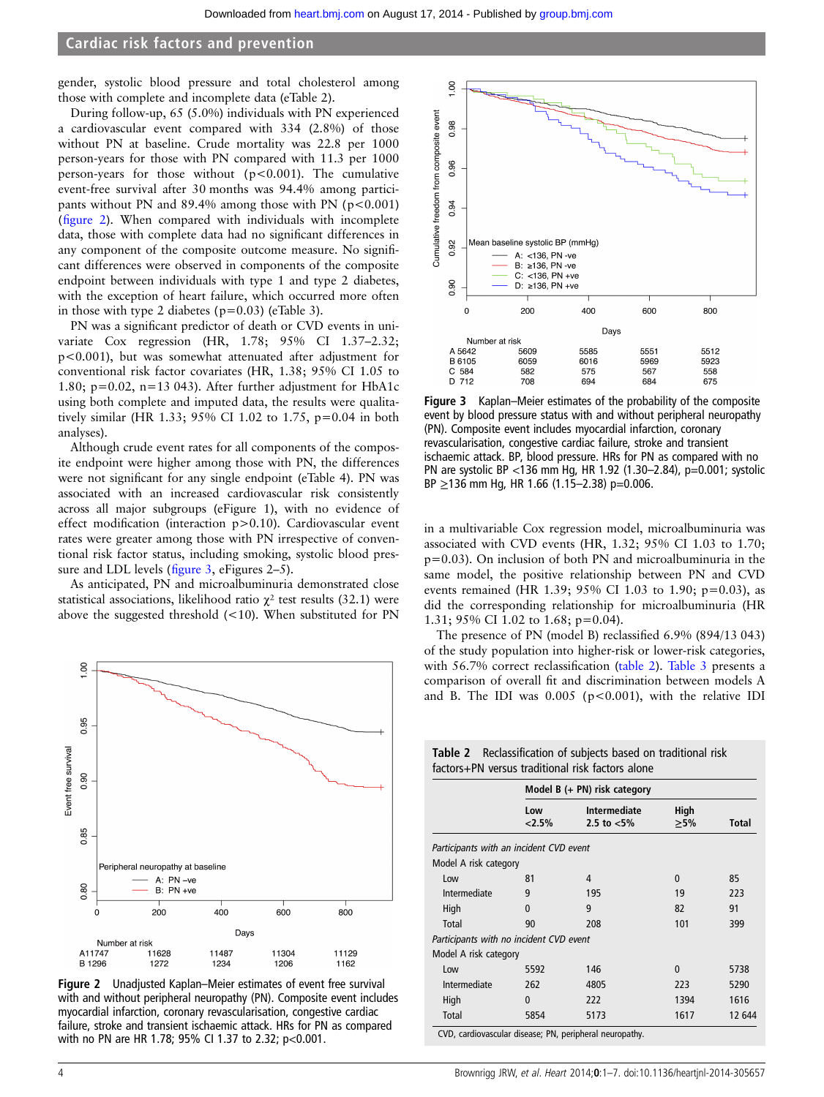gender, systolic blood pressure and total cholesterol among those with complete and incomplete data (eTable 2).

During follow-up, 65 (5.0%) individuals with PN experienced a cardiovascular event compared with 334 (2.8%) of those without PN at baseline. Crude mortality was 22.8 per 1000 person-years for those with PN compared with 11.3 per 1000 person-years for those without (p<0.001). The cumulative event-free survival after 30 months was 94.4% among participants without PN and  $89.4\%$  among those with PN ( $p < 0.001$ ) (figure 2). When compared with individuals with incomplete data, those with complete data had no significant differences in any component of the composite outcome measure. No significant differences were observed in components of the composite endpoint between individuals with type 1 and type 2 diabetes, with the exception of heart failure, which occurred more often in those with type 2 diabetes ( $p=0.03$ ) (eTable 3).

PN was a significant predictor of death or CVD events in univariate Cox regression (HR, 1.78; 95% CI 1.37–2.32; p<0.001), but was somewhat attenuated after adjustment for conventional risk factor covariates (HR, 1.38; 95% CI 1.05 to 1.80;  $p=0.02$ ,  $n=13 043$ ). After further adjustment for HbA1c using both complete and imputed data, the results were qualitatively similar (HR 1.33; 95% CI 1.02 to 1.75, p=0.04 in both analyses).

Although crude event rates for all components of the composite endpoint were higher among those with PN, the differences were not significant for any single endpoint (eTable 4). PN was associated with an increased cardiovascular risk consistently across all major subgroups (eFigure 1), with no evidence of effect modification (interaction p>0.10). Cardiovascular event rates were greater among those with PN irrespective of conventional risk factor status, including smoking, systolic blood pressure and LDL levels (figure 3, eFigures 2–5).

As anticipated, PN and microalbuminuria demonstrated close statistical associations, likelihood ratio  $\chi^2$  test results (32.1) were above the suggested threshold (<10). When substituted for PN



Figure 2 Unadjusted Kaplan–Meier estimates of event free survival with and without peripheral neuropathy (PN). Composite event includes myocardial infarction, coronary revascularisation, congestive cardiac failure, stroke and transient ischaemic attack. HRs for PN as compared with no PN are HR 1.78; 95% CI 1.37 to 2.32; p<0.001.



Figure 3 Kaplan–Meier estimates of the probability of the composite event by blood pressure status with and without peripheral neuropathy (PN). Composite event includes myocardial infarction, coronary revascularisation, congestive cardiac failure, stroke and transient ischaemic attack. BP, blood pressure. HRs for PN as compared with no PN are systolic BP <136 mm Hg, HR 1.92 (1.30–2.84), p=0.001; systolic  $BP \geq 136$  mm Hg, HR 1.66 (1.15–2.38) p=0.006.

in a multivariable Cox regression model, microalbuminuria was associated with CVD events (HR, 1.32; 95% CI 1.03 to 1.70; p=0.03). On inclusion of both PN and microalbuminuria in the same model, the positive relationship between PN and CVD events remained (HR 1.39; 95% CI 1.03 to 1.90; p=0.03), as did the corresponding relationship for microalbuminuria (HR 1.31; 95% CI 1.02 to 1.68; p=0.04).

The presence of PN (model B) reclassified 6.9% (894/13 043) of the study population into higher-risk or lower-risk categories, with 56.7% correct reclassification (table 2). [Table 3](#page-4-0) presents a comparison of overall fit and discrimination between models A and B. The IDI was  $0.005$  ( $p<0.001$ ), with the relative IDI

Table 2 Reclassification of subjects based on traditional risk

|                                         |                                | factors+PN versus traditional risk factors alone |                   |        |  |
|-----------------------------------------|--------------------------------|--------------------------------------------------|-------------------|--------|--|
|                                         | Model B $(+$ PN) risk category |                                                  |                   |        |  |
|                                         | Low<br>$2.5\%$                 | <b>Intermediate</b><br>2.5 to $< 5\%$            | High<br>$\geq$ 5% | Total  |  |
| Participants with an incident CVD event |                                |                                                  |                   |        |  |
| Model A risk category                   |                                |                                                  |                   |        |  |
| Low                                     | 81                             | 4                                                | $\Omega$          | 85     |  |
| Intermediate                            | 9                              | 195                                              | 19                | 223    |  |
| High                                    | $\Omega$                       | 9                                                | 82                | 91     |  |
| Total                                   | 90                             | 208                                              | 101               | 399    |  |
| Participants with no incident CVD event |                                |                                                  |                   |        |  |
| Model A risk category                   |                                |                                                  |                   |        |  |
| Low                                     | 5592                           | 146                                              | $\Omega$          | 5738   |  |
| Intermediate                            | 262                            | 4805                                             | 223               | 5290   |  |
| High                                    | 0                              | 222                                              | 1394              | 1616   |  |
| Total                                   | 5854                           | 5173<br>ان ایا این مربوط این این مربوط ا         | 1617              | 12 644 |  |

CVD, cardiovascular disease; PN, peripheral neuropathy.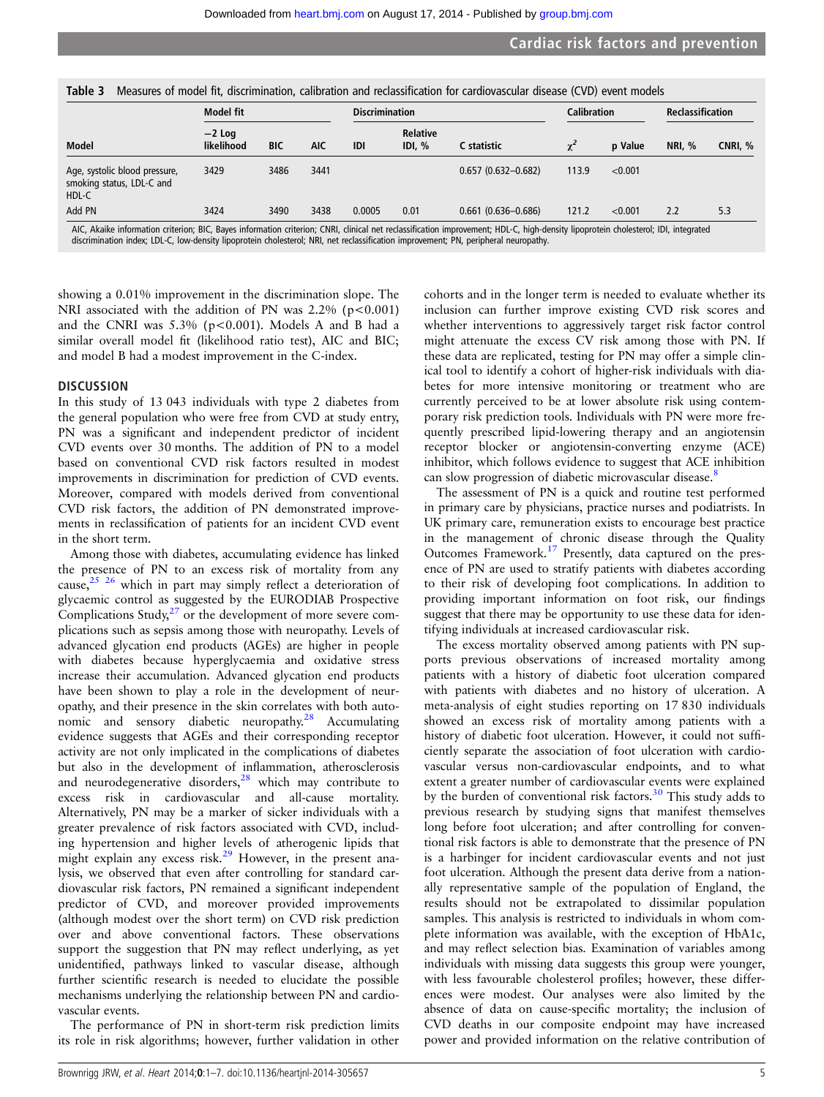<span id="page-4-0"></span>

|                                                                     | Model fit              |            | <b>Discrimination</b> |            | <b>Calibration</b>      |                        | <b>Reclassification</b> |         |               |         |
|---------------------------------------------------------------------|------------------------|------------|-----------------------|------------|-------------------------|------------------------|-------------------------|---------|---------------|---------|
| Model                                                               | $-2$ Log<br>likelihood | <b>BIC</b> | <b>AIC</b>            | <b>IDI</b> | <b>Relative</b><br>IDL% | C statistic            | $\chi^2$                | p Value | <b>NRI.</b> % | CNRI, % |
| Age, systolic blood pressure,<br>smoking status, LDL-C and<br>HDL-C | 3429                   | 3486       | 3441                  |            |                         | $0.657(0.632 - 0.682)$ | 113.9                   | < 0.001 |               |         |
| Add PN                                                              | 3424                   | 3490       | 3438                  | 0.0005     | 0.01                    | $0.661$ (0.636-0.686)  | 121.2                   | < 0.001 | 2.2           | 5.3     |

discrimination index; LDL-C, low-density lipoprotein cholesterol; NRI, net reclassification improvement; PN, peripheral neuropathy.

showing a 0.01% improvement in the discrimination slope. The NRI associated with the addition of PN was  $2.2\%$  (p<0.001) and the CNRI was  $5.3\%$  (p<0.001). Models A and B had a similar overall model fit (likelihood ratio test), AIC and BIC; and model B had a modest improvement in the C-index.

#### **DISCUSSION**

In this study of 13 043 individuals with type 2 diabetes from the general population who were free from CVD at study entry, PN was a significant and independent predictor of incident CVD events over 30 months. The addition of PN to a model based on conventional CVD risk factors resulted in modest improvements in discrimination for prediction of CVD events. Moreover, compared with models derived from conventional CVD risk factors, the addition of PN demonstrated improvements in reclassification of patients for an incident CVD event in the short term.

Among those with diabetes, accumulating evidence has linked the presence of PN to an excess risk of mortality from any cause, $25 \frac{25}{6}$  which in part may simply reflect a deterioration of glycaemic control as suggested by the EURODIAB Prospective Complications Study, $2^7$  or the development of more severe complications such as sepsis among those with neuropathy. Levels of advanced glycation end products (AGEs) are higher in people with diabetes because hyperglycaemia and oxidative stress increase their accumulation. Advanced glycation end products have been shown to play a role in the development of neuropathy, and their presence in the skin correlates with both auto-nomic and sensory diabetic neuropathy.<sup>[28](#page-6-0)</sup> Accumulating evidence suggests that AGEs and their corresponding receptor activity are not only implicated in the complications of diabetes but also in the development of inflammation, atherosclerosis and neurodegenerative disorders,<sup>[28](#page-6-0)</sup> which may contribute to excess risk in cardiovascular and all-cause mortality. Alternatively, PN may be a marker of sicker individuals with a greater prevalence of risk factors associated with CVD, including hypertension and higher levels of atherogenic lipids that might explain any excess risk.[29](#page-6-0) However, in the present analysis, we observed that even after controlling for standard cardiovascular risk factors, PN remained a significant independent predictor of CVD, and moreover provided improvements (although modest over the short term) on CVD risk prediction over and above conventional factors. These observations support the suggestion that PN may reflect underlying, as yet unidentified, pathways linked to vascular disease, although further scientific research is needed to elucidate the possible mechanisms underlying the relationship between PN and cardiovascular events.

The performance of PN in short-term risk prediction limits its role in risk algorithms; however, further validation in other

cohorts and in the longer term is needed to evaluate whether its inclusion can further improve existing CVD risk scores and whether interventions to aggressively target risk factor control might attenuate the excess CV risk among those with PN. If these data are replicated, testing for PN may offer a simple clinical tool to identify a cohort of higher-risk individuals with diabetes for more intensive monitoring or treatment who are currently perceived to be at lower absolute risk using contemporary risk prediction tools. Individuals with PN were more frequently prescribed lipid-lowering therapy and an angiotensin receptor blocker or angiotensin-converting enzyme (ACE) inhibitor, which follows evidence to suggest that ACE inhibition can slow progression of diabetic microvascular disease.<sup>[8](#page-5-0)</sup>

The assessment of PN is a quick and routine test performed in primary care by physicians, practice nurses and podiatrists. In UK primary care, remuneration exists to encourage best practice in the management of chronic disease through the Quality Outcomes Framework.[17](#page-5-0) Presently, data captured on the presence of PN are used to stratify patients with diabetes according to their risk of developing foot complications. In addition to providing important information on foot risk, our findings suggest that there may be opportunity to use these data for identifying individuals at increased cardiovascular risk.

The excess mortality observed among patients with PN supports previous observations of increased mortality among patients with a history of diabetic foot ulceration compared with patients with diabetes and no history of ulceration. A meta-analysis of eight studies reporting on 17 830 individuals showed an excess risk of mortality among patients with a history of diabetic foot ulceration. However, it could not sufficiently separate the association of foot ulceration with cardiovascular versus non-cardiovascular endpoints, and to what extent a greater number of cardiovascular events were explained by the burden of conventional risk factors.<sup>[30](#page-6-0)</sup> This study adds to previous research by studying signs that manifest themselves long before foot ulceration; and after controlling for conventional risk factors is able to demonstrate that the presence of PN is a harbinger for incident cardiovascular events and not just foot ulceration. Although the present data derive from a nationally representative sample of the population of England, the results should not be extrapolated to dissimilar population samples. This analysis is restricted to individuals in whom complete information was available, with the exception of HbA1c, and may reflect selection bias. Examination of variables among individuals with missing data suggests this group were younger, with less favourable cholesterol profiles; however, these differences were modest. Our analyses were also limited by the absence of data on cause-specific mortality; the inclusion of CVD deaths in our composite endpoint may have increased power and provided information on the relative contribution of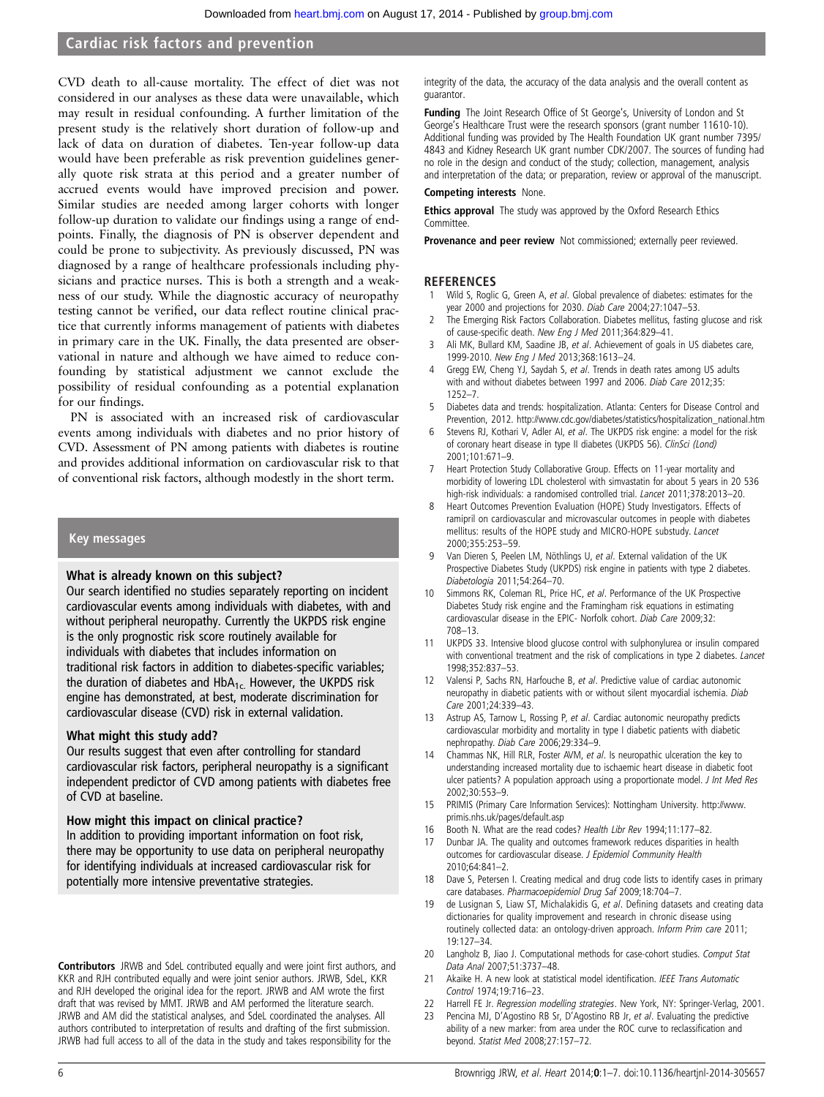<span id="page-5-0"></span>CVD death to all-cause mortality. The effect of diet was not considered in our analyses as these data were unavailable, which may result in residual confounding. A further limitation of the present study is the relatively short duration of follow-up and lack of data on duration of diabetes. Ten-year follow-up data would have been preferable as risk prevention guidelines generally quote risk strata at this period and a greater number of accrued events would have improved precision and power. Similar studies are needed among larger cohorts with longer follow-up duration to validate our findings using a range of endpoints. Finally, the diagnosis of PN is observer dependent and could be prone to subjectivity. As previously discussed, PN was diagnosed by a range of healthcare professionals including physicians and practice nurses. This is both a strength and a weakness of our study. While the diagnostic accuracy of neuropathy testing cannot be verified, our data reflect routine clinical practice that currently informs management of patients with diabetes in primary care in the UK. Finally, the data presented are observational in nature and although we have aimed to reduce confounding by statistical adjustment we cannot exclude the possibility of residual confounding as a potential explanation for our findings.

PN is associated with an increased risk of cardiovascular events among individuals with diabetes and no prior history of CVD. Assessment of PN among patients with diabetes is routine and provides additional information on cardiovascular risk to that of conventional risk factors, although modestly in the short term.

#### Key messages

#### What is already known on this subject?

Our search identified no studies separately reporting on incident cardiovascular events among individuals with diabetes, with and without peripheral neuropathy. Currently the UKPDS risk engine is the only prognostic risk score routinely available for individuals with diabetes that includes information on traditional risk factors in addition to diabetes-specific variables; the duration of diabetes and  $HbA_{1c}$ . However, the UKPDS risk engine has demonstrated, at best, moderate discrimination for cardiovascular disease (CVD) risk in external validation.

#### What might this study add?

Our results suggest that even after controlling for standard cardiovascular risk factors, peripheral neuropathy is a significant independent predictor of CVD among patients with diabetes free of CVD at baseline.

#### How might this impact on clinical practice?

In addition to providing important information on foot risk, there may be opportunity to use data on peripheral neuropathy for identifying individuals at increased cardiovascular risk for potentially more intensive preventative strategies.

Contributors JRWB and SdeL contributed equally and were joint first authors, and KKR and RJH contributed equally and were joint senior authors. JRWB, SdeL, KKR and RJH developed the original idea for the report. JRWB and AM wrote the first draft that was revised by MMT. JRWB and AM performed the literature search. JRWB and AM did the statistical analyses, and SdeL coordinated the analyses. All authors contributed to interpretation of results and drafting of the first submission. JRWB had full access to all of the data in the study and takes responsibility for the

integrity of the data, the accuracy of the data analysis and the overall content as guarantor.

**Funding** The Joint Research Office of St George's, University of London and St George's Healthcare Trust were the research sponsors (grant number 11610-10). Additional funding was provided by The Health Foundation UK grant number 7395/ 4843 and Kidney Research UK grant number CDK/2007. The sources of funding had no role in the design and conduct of the study; collection, management, analysis and interpretation of the data; or preparation, review or approval of the manuscript.

#### Competing interests None.

Ethics approval The study was approved by the Oxford Research Ethics Committee.

Provenance and peer review Not commissioned; externally peer reviewed.

#### **REFERENCES**

- Wild S, Roglic G, Green A, et al. Global prevalence of diabetes: estimates for the year 2000 and projections for 2030. Diab Care 2004;27:1047–53.
- 2 The Emerging Risk Factors Collaboration. Diabetes mellitus, fasting glucose and risk of cause-specific death. New Eng J Med 2011;364:829–41.
- Ali MK, Bullard KM, Saadine JB, et al. Achievement of goals in US diabetes care, 1999-2010. New Eng J Med 2013;368:1613–24.
- Gregg EW, Cheng YJ, Saydah S, et al. Trends in death rates among US adults with and without diabetes between 1997 and 2006. Diab Care 2012;35: 1252–7.
- 5 Diabetes data and trends: hospitalization. Atlanta: Centers for Disease Control and Prevention, 2012. [http://www.cdc.gov/diabetes/statistics/hospitalization\\_national.htm](http://www.cdc.gov/diabetes/statistics/hospitalization_national.htm)
- Stevens RJ, Kothari V, Adler AI, et al. The UKPDS risk engine: a model for the risk of coronary heart disease in type II diabetes (UKPDS 56). ClinSci (Lond) 2001;101:671–9.
- 7 Heart Protection Study Collaborative Group. Effects on 11-year mortality and morbidity of lowering LDL cholesterol with simvastatin for about 5 years in 20 536 high-risk individuals: a randomised controlled trial. *Lancet* 2011;378:2013-20.
- Heart Outcomes Prevention Evaluation (HOPE) Study Investigators. Effects of ramipril on cardiovascular and microvascular outcomes in people with diabetes mellitus: results of the HOPE study and MICRO-HOPE substudy. Lancet 2000;355:253–59.
- 9 Van Dieren S, Peelen LM, Nöthlings U, et al. External validation of the UK Prospective Diabetes Study (UKPDS) risk engine in patients with type 2 diabetes. Diabetologia 2011;54:264–70.
- 10 Simmons RK, Coleman RL, Price HC, et al. Performance of the UK Prospective Diabetes Study risk engine and the Framingham risk equations in estimating cardiovascular disease in the EPIC- Norfolk cohort. Diab Care 2009;32: 708–13.
- 11 UKPDS 33. Intensive blood glucose control with sulphonylurea or insulin compared with conventional treatment and the risk of complications in type 2 diabetes. Lancet 1998;352:837–53.
- Valensi P, Sachs RN, Harfouche B, et al. Predictive value of cardiac autonomic neuropathy in diabetic patients with or without silent myocardial ischemia. Diab Care 2001;24:339–43.
- 13 Astrup AS, Tarnow L, Rossing P, et al. Cardiac autonomic neuropathy predicts cardiovascular morbidity and mortality in type I diabetic patients with diabetic nephropathy. Diab Care 2006;29:334–9.
- 14 Chammas NK, Hill RLR, Foster AVM, et al. Is neuropathic ulceration the key to understanding increased mortality due to ischaemic heart disease in diabetic foot ulcer patients? A population approach using a proportionate model. *J Int Med Res* 2002;30:553–9.
- 15 PRIMIS (Primary Care Information Services): Nottingham University. [http://www.](http://www.primis.nhs.uk/pages/default.asp) [primis.nhs.uk/pages/default.asp](http://www.primis.nhs.uk/pages/default.asp)
- 16 Booth N. What are the read codes? Health Libr Rev 1994;11:177–82.
- 17 Dunbar JA. The quality and outcomes framework reduces disparities in health outcomes for cardiovascular disease. J Epidemiol Community Health 2010;64:841–2.
- 18 Dave S, Petersen I. Creating medical and drug code lists to identify cases in primary care databases. Pharmacoepidemiol Drug Saf 2009;18:704–7.
- 19 de Lusignan S, Liaw ST, Michalakidis G, et al. Defining datasets and creating data dictionaries for quality improvement and research in chronic disease using routinely collected data: an ontology-driven approach. Inform Prim care 2011; 19:127–34.
- 20 Langholz B, Jiao J. Computational methods for case-cohort studies. Comput Stat Data Anal 2007;51:3737–48.
- 21 Akaike H. A new look at statistical model identification. IEEE Trans Automatic Control 1974;19:716–23.
- 22 Harrell FE Jr. Regression modelling strategies. New York, NY: Springer-Verlag, 2001.
- 23 Pencina MJ, D'Agostino RB Sr, D'Agostino RB Jr, et al. Evaluating the predictive
- ability of a new marker: from area under the ROC curve to reclassification and beyond. Statist Med 2008;27:157–72.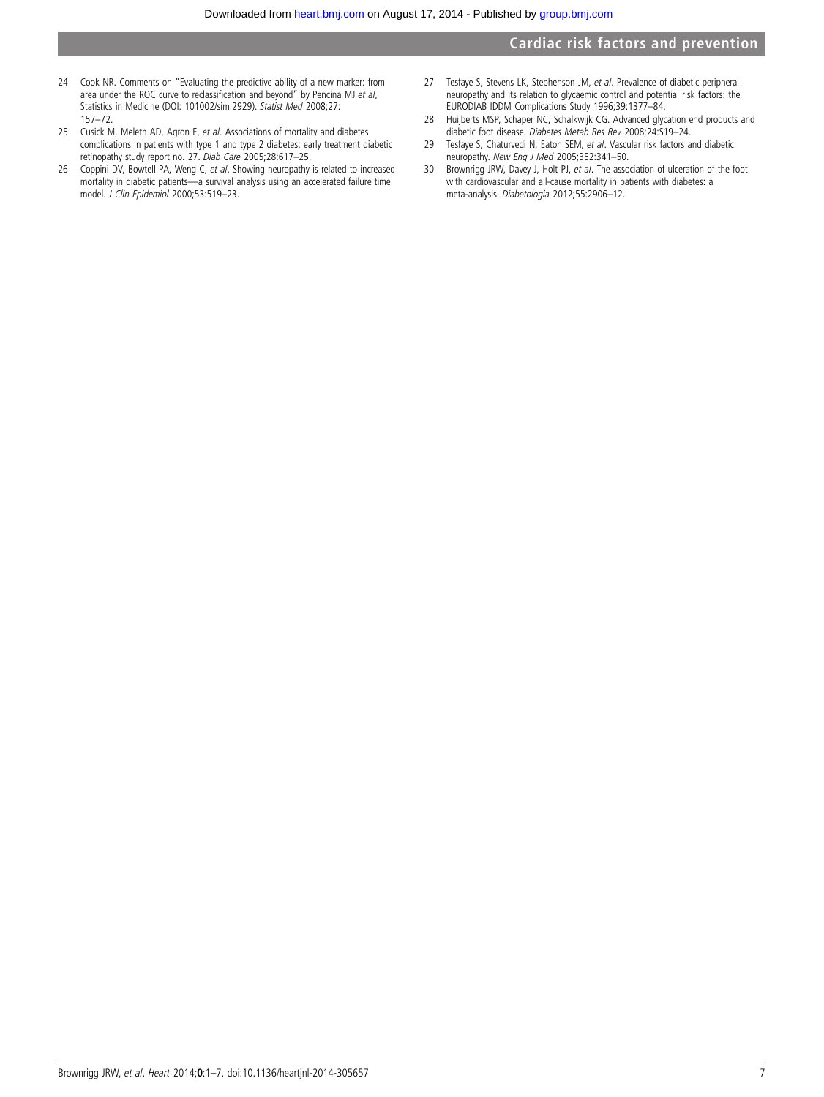- <span id="page-6-0"></span>24 Cook NR. Comments on "Evaluating the predictive ability of a new marker: from area under the ROC curve to reclassification and beyond" by Pencina MJ et al, Statistics in Medicine (DOI: 101002/sim.2929). Statist Med 2008;27: 157–72.
- 25 Cusick M, Meleth AD, Agron E, et al. Associations of mortality and diabetes complications in patients with type 1 and type 2 diabetes: early treatment diabetic retinopathy study report no. 27. Diab Care 2005;28:617–25.
- 26 Coppini DV, Bowtell PA, Weng C, et al. Showing neuropathy is related to increased mortality in diabetic patients—a survival analysis using an accelerated failure time model. J Clin Epidemiol 2000;53:519–23.
- 27 Tesfaye S, Stevens LK, Stephenson JM, et al. Prevalence of diabetic peripheral neuropathy and its relation to glycaemic control and potential risk factors: the EURODIAB IDDM Complications Study 1996;39:1377–84.
- 28 Huijberts MSP, Schaper NC, Schalkwijk CG. Advanced glycation end products and diabetic foot disease. Diabetes Metab Res Rev 2008;24:S19–24.
- 29 Tesfaye S, Chaturvedi N, Eaton SEM, et al. Vascular risk factors and diabetic neuropathy. New Eng J Med 2005;352:341–50.
- 30 Brownrigg JRW, Davey J, Holt PJ, et al. The association of ulceration of the foot with cardiovascular and all-cause mortality in patients with diabetes: a meta-analysis. Diabetologia 2012;55:2906-12.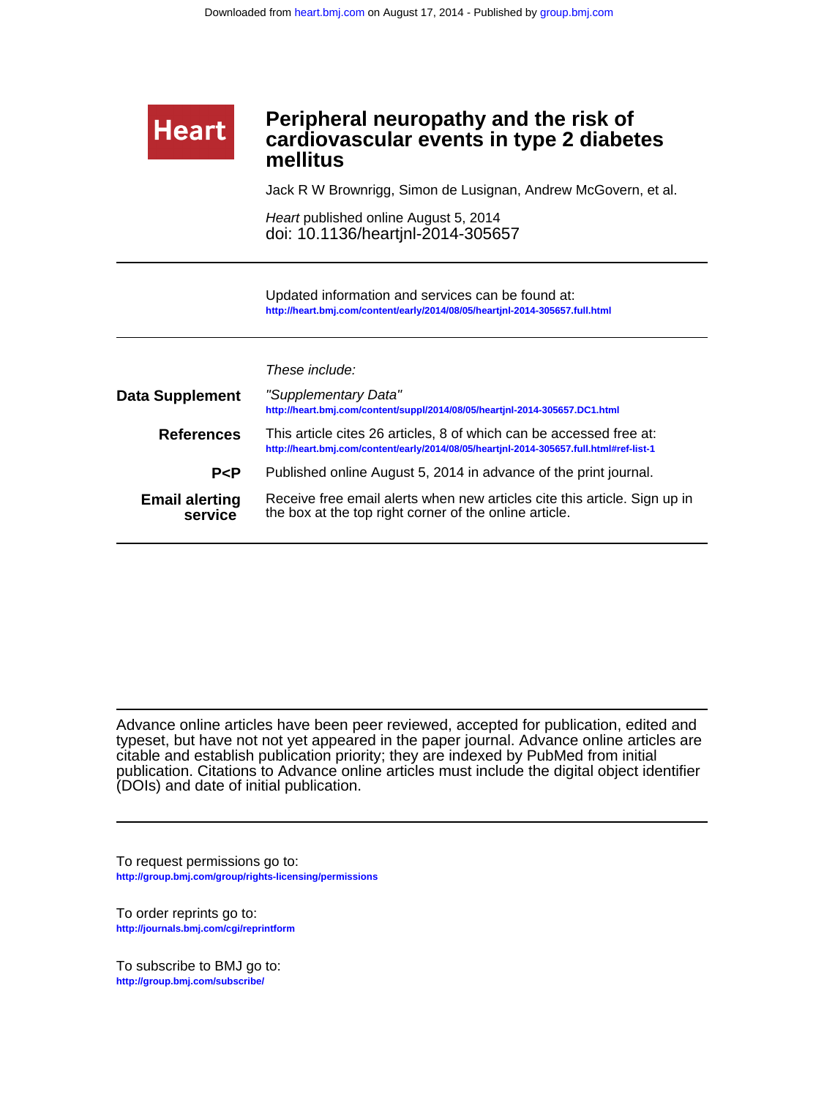# **mellitus cardiovascular events in type 2 diabetes Peripheral neuropathy and the risk of**

Jack R W Brownrigg, Simon de Lusignan, Andrew McGovern, et al.

doi: 10.1136/heartjnl-2014-305657 Heart published online August 5, 2014

**<http://heart.bmj.com/content/early/2014/08/05/heartjnl-2014-305657.full.html>** Updated information and services can be found at:

These include:

**Heart** 

| <b>Data Supplement</b>           | "Supplementary Data"<br>http://heart.bmj.com/content/suppl/2014/08/05/heartjnl-2014-305657.DC1.html                                                            |
|----------------------------------|----------------------------------------------------------------------------------------------------------------------------------------------------------------|
| <b>References</b>                | This article cites 26 articles, 8 of which can be accessed free at:<br>http://heart.bmj.com/content/early/2014/08/05/heartjnl-2014-305657.full.html#ref-list-1 |
| P < P                            | Published online August 5, 2014 in advance of the print journal.                                                                                               |
| <b>Email alerting</b><br>service | Receive free email alerts when new articles cite this article. Sign up in<br>the box at the top right corner of the online article.                            |

(DOIs) and date of initial publication. publication. Citations to Advance online articles must include the digital object identifier citable and establish publication priority; they are indexed by PubMed from initial typeset, but have not not yet appeared in the paper journal. Advance online articles are Advance online articles have been peer reviewed, accepted for publication, edited and

**<http://group.bmj.com/group/rights-licensing/permissions>** To request permissions go to:

**<http://journals.bmj.com/cgi/reprintform>** To order reprints go to:

**<http://group.bmj.com/subscribe/>** To subscribe to BMJ go to: